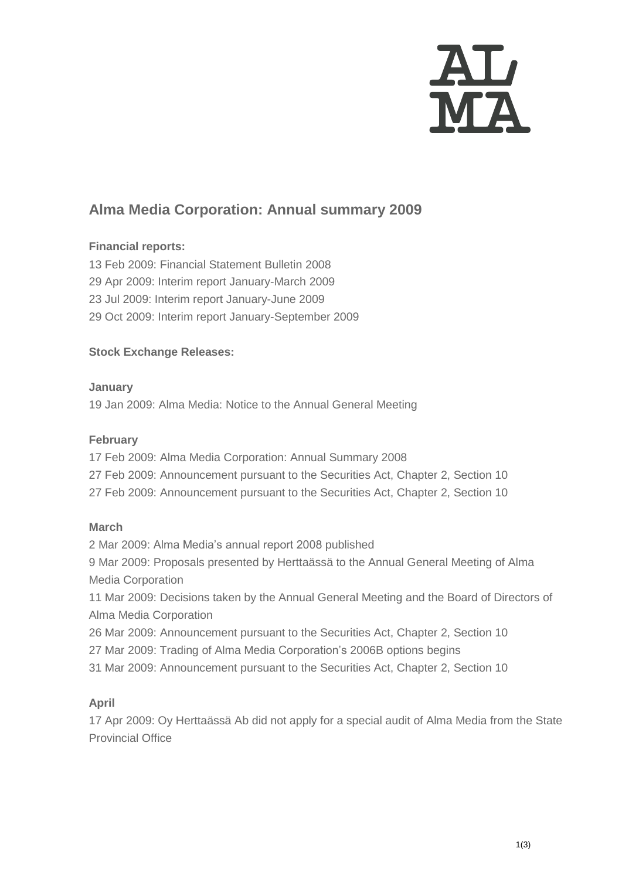

# **Alma Media Corporation: Annual summary 2009**

## **Financial reports:**

 Feb 2009: Financial Statement Bulletin 2008 Apr 2009: Interim report January-March 2009 Jul 2009: Interim report January-June 2009 Oct 2009: Interim report January-September 2009

# **Stock Exchange Releases:**

**January** 19 Jan 2009: [Alma Media: Notice to the Annual General Meeting](http://www.almamedia.fi/release?release=242430)

## **February**

17 Feb 2009: Alma Media [Corporation: Annual Summary 2008](http://www.almamedia.fi/tiedote?tiedote=250910) 27 Feb 2009: [Announcement pursuant to the Securities Act, Chapter 2, Section 10](http://www.almamedia.fi/tiedote?tiedote=253550) 27 Feb 2009: [Announcement pursuant to the Securities Act, Chapter 2, Section 10](http://www.almamedia.fi/tiedote?tiedote=253550)

## **March**

2 Mar 2009: [Alma Media's annual report 2008 published](http://www.almamedia.fi/tiedote?tiedote=254342) 9 Mar 2009: Proposals presented by Herttaässä to the Annual General Meeting of Alma Media Corporation 11 Mar 2009: Decisions taken by the Annual General Meeting and the Board of Directors of [Alma Media Corporation](http://www.almamedia.fi/tiedote?tiedote=256990)

26 Mar 2009: [Announcement pursuant to the Securities Act, Chapter 2, Section 10](http://www.almamedia.fi/tiedote?tiedote=253550)

27 Mar 2009: Trading of Alma Media Corporation's 2006B [options begins](http://www.almamedia.fi/tiedote?tiedote=262284)

31 Mar 2009: [Announcement pursuant to the Securities Act, Chapter 2, Section 10](http://www.almamedia.fi/tiedote?tiedote=253550)

## **April**

17 Apr 2009: [Oy Herttaässä Ab did not apply for a special audit of Alma Media](http://www.almamedia.fi/tiedote?tiedote=268640) from the State [Provincial Office](http://www.almamedia.fi/tiedote?tiedote=268640)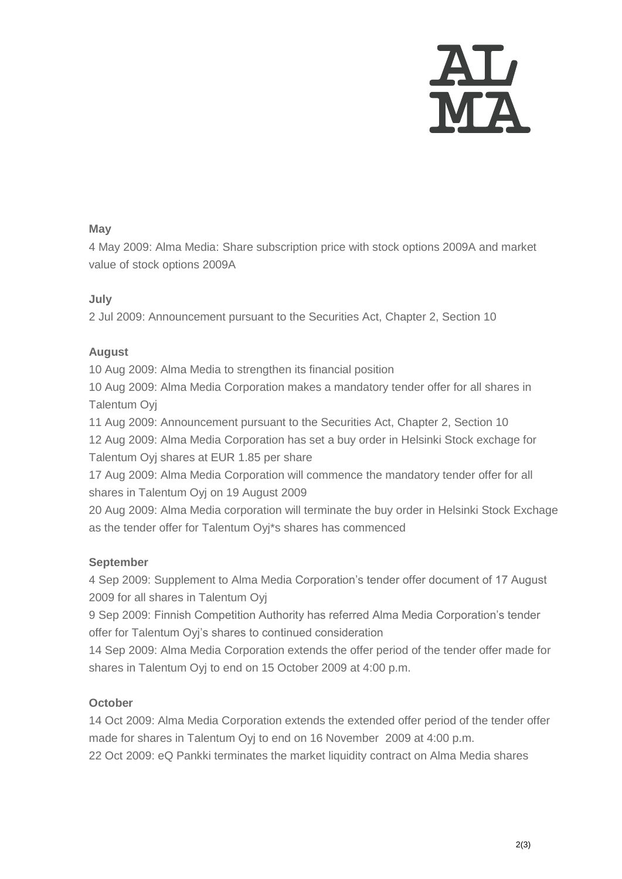

#### **May**

4 May 2009: [Alma Media: Share subscription price](http://www.almamedia.fi/tiedote?tiedote=273602) with stock options 2009A and market [value of stock options 2009A](http://www.almamedia.fi/tiedote?tiedote=273602)

## **July**

2 Jul 2009: [Announcement pursuant to the Securities Act, Chapter 2, Section 10](http://www.almamedia.fi/tiedote?tiedote=253550)

## **August**

10 Aug 2009: [Alma Media to strengthen its financial position](http://www.almamedia.fi/tiedote?tiedote=300918)

10 Aug 2009: Alma Media [Corporation makes a mandatory tender offer for all shares in](http://www.almamedia.fi/tiedote?tiedote=300920)  [Talentum Oyj](http://www.almamedia.fi/tiedote?tiedote=300920) 

11 Aug 2009: [Announcement pursuant to the Securities Act, Chapter 2, Section 10](http://www.almamedia.fi/tiedote?tiedote=253550) 12 Aug 2009: [Alma Media Corporation has set a buy order in Helsinki Stock exchage for](http://www.almamedia.fi/tiedote?tiedote=301816)  [Talentum Oyj shares at EUR 1.85 per share](http://www.almamedia.fi/tiedote?tiedote=301816)

17 Aug 2009: [Alma Media Corporation will commence the mandatory tender offer for all](http://www.almamedia.fi/tiedote?tiedote=302593)  [shares in Talentum Oyj](http://www.almamedia.fi/tiedote?tiedote=302593) on 19 August 2009

20 Aug 2009: Alma Media corporation will terminate the buy order in Helsinki Stock Exchage as the tender offer for Talentum [Oyj\\*s shares has commenced](http://www.almamedia.fi/tiedote?tiedote=303515)

## **September**

4 Sep 2009: Supplement to [Alma Media Corporation's tender offer document of 17 August](http://www.almamedia.fi/tiedote?tiedote=307715)  [2009 for all shares in Talentum Oyj](http://www.almamedia.fi/tiedote?tiedote=307715)

9 Sep 2009: Finnish Competition Authority has referred Alma Media Corporation's tender offer for [Talentum Oyj's shares to continued consideration](http://www.almamedia.fi/tiedote?tiedote=308986)

14 Sep 2009: [Alma Media Corporation extends the offer period of the tender offer made for](http://www.almamedia.fi/tiedote?tiedote=310247) shares in Talentum Oyj [to end on 15 October 2009 at 4:00 p.m.](http://www.almamedia.fi/tiedote?tiedote=310247)

## **October**

14 Oct 2009: [Alma Media Corporation extends the extended offer period of the tender offer](http://www.almamedia.fi/tiedote?tiedote=310247)  made for shares in Talentum Oyj [to end on 16 November 2009 at 4:00 p.m.](http://www.almamedia.fi/tiedote?tiedote=310247)

22 Oct 2009: [eQ Pankki terminates the market liquidity contract on Alma Media shares](http://www.almamedia.fi/tiedote?tiedote=320795)